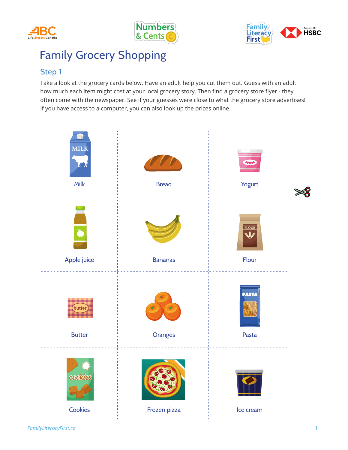





## Family Grocery Shopping

## Step 1

Take a look at the grocery cards below. Have an adult help you cut them out. Guess with an adult how much each item might cost at your local grocery story. Then find a grocery store flyer - they often come with the newspaper. See if your guesses were close to what the grocery store advertises! If you have access to a computer, you can also look up the prices online.